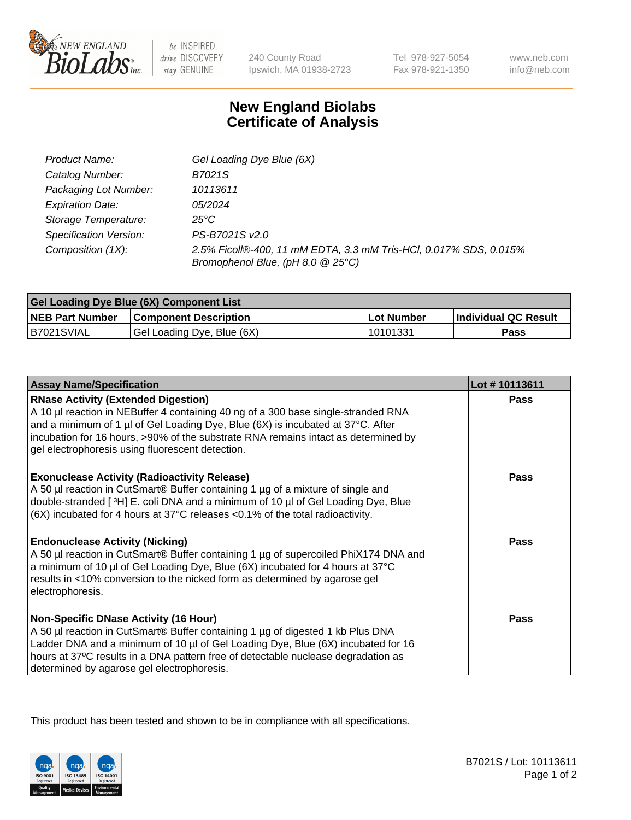

 $be$  INSPIRED drive DISCOVERY stay GENUINE

240 County Road Ipswich, MA 01938-2723 Tel 978-927-5054 Fax 978-921-1350 www.neb.com info@neb.com

## **New England Biolabs Certificate of Analysis**

| Product Name:           | Gel Loading Dye Blue (6X)                                                                              |
|-------------------------|--------------------------------------------------------------------------------------------------------|
| Catalog Number:         | B7021S                                                                                                 |
| Packaging Lot Number:   | 10113611                                                                                               |
| <b>Expiration Date:</b> | 05/2024                                                                                                |
| Storage Temperature:    | 25°C                                                                                                   |
| Specification Version:  | PS-B7021S v2.0                                                                                         |
| Composition (1X):       | 2.5% Ficoll®-400, 11 mM EDTA, 3.3 mM Tris-HCl, 0.017% SDS, 0.015%<br>Bromophenol Blue, (pH 8.0 @ 25°C) |

| <b>Gel Loading Dye Blue (6X) Component List</b> |                              |                   |                      |  |
|-------------------------------------------------|------------------------------|-------------------|----------------------|--|
| <b>NEB Part Number</b>                          | <b>Component Description</b> | <b>Lot Number</b> | Individual QC Result |  |
| B7021SVIAL                                      | Gel Loading Dye, Blue (6X)   | 10101331          | Pass                 |  |

| <b>Assay Name/Specification</b>                                                                                                                                                                                                                                                                                                                              | Lot #10113611 |
|--------------------------------------------------------------------------------------------------------------------------------------------------------------------------------------------------------------------------------------------------------------------------------------------------------------------------------------------------------------|---------------|
| <b>RNase Activity (Extended Digestion)</b><br>A 10 µl reaction in NEBuffer 4 containing 40 ng of a 300 base single-stranded RNA<br>and a minimum of 1 µl of Gel Loading Dye, Blue (6X) is incubated at 37°C. After<br>incubation for 16 hours, >90% of the substrate RNA remains intact as determined by<br>gel electrophoresis using fluorescent detection. | <b>Pass</b>   |
| <b>Exonuclease Activity (Radioactivity Release)</b><br>A 50 µl reaction in CutSmart® Buffer containing 1 µg of a mixture of single and<br>double-stranded [3H] E. coli DNA and a minimum of 10 µl of Gel Loading Dye, Blue<br>(6X) incubated for 4 hours at 37°C releases <0.1% of the total radioactivity.                                                  | <b>Pass</b>   |
| <b>Endonuclease Activity (Nicking)</b><br>A 50 µl reaction in CutSmart® Buffer containing 1 µg of supercoiled PhiX174 DNA and<br>a minimum of 10 µl of Gel Loading Dye, Blue (6X) incubated for 4 hours at 37°C<br>results in <10% conversion to the nicked form as determined by agarose gel<br>electrophoresis.                                            | <b>Pass</b>   |
| <b>Non-Specific DNase Activity (16 Hour)</b><br>A 50 µl reaction in CutSmart® Buffer containing 1 µg of digested 1 kb Plus DNA<br>Ladder DNA and a minimum of 10 µl of Gel Loading Dye, Blue (6X) incubated for 16<br>hours at 37°C results in a DNA pattern free of detectable nuclease degradation as<br>determined by agarose gel electrophoresis.        | <b>Pass</b>   |

This product has been tested and shown to be in compliance with all specifications.